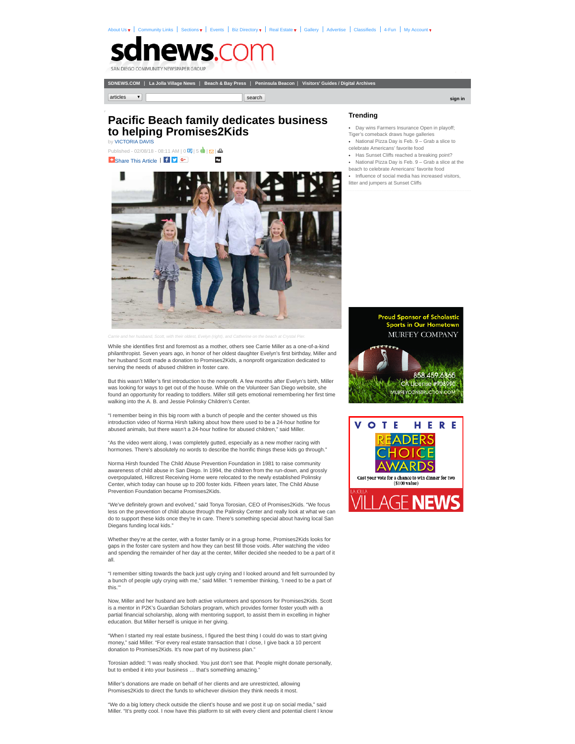[About Us](http://www.sdnews.com/pages/about_us)  $\bullet$  | [Community Links](http://www.sdnews.com/community_links) | Sections  $\bullet$  | [Events](http://www.sdnews.com/pages/events) | [Biz Directory](http://www.sdnews.com/pages/business_directory)  $\bullet$  | [Real Estate](http://www.sdnews.com/pages/real_estate)  $\bullet$  | [Gallery](http://www.sdnews.com/Gallery) | [Advertise](http://www.sdnews.com/pages/main_advertising_information) | [Classifieds](http://www.sdnews.com/pages/classifieds_ad2ad) | [4-Fun](http://www.sdnews.com/pages/crosswords) | My Account  $\bullet$ 

## ews.c

**[SDNEWS.COM](http://www.sdnews.com/pages/home?site=sdnews)** | **[La Jolla Village News](http://www.sdnews.com/pages/home?site=ljvn)** | **[Beach & Bay Press](http://www.sdnews.com/pages/home?site=bbp)** | **[Peninsula Beacon](http://www.sdnews.com/pages/home?site=pb)** | **[Visitors' Guides / Digital Archives](http://www.sdnews.com/pages/archives)**

**[sign in](http://www.sdnews.com/pages/login/?) articles search** search that is a search that is a search of the search of the search of the search of the search of the search of the search of the search of the search of the search of the search of the search o

## by [VICTORIA DAVIS](http://www.sdnews.com/bookmark/27541433-VICTORIA_DAVIS) **Pacific Beach family dedicates business to helping Promises2Kids**

Published - 02/08/18 - 08:11 AM | 0 | 5 | | **+** [Share This Article](http://addthis.com/bookmark.php?v=250) | <mark>f y G+</mark> digg

## **Trending**

- [Day wins Farmers Insurance Open in playoff;](http://www.sdnews.com/view/full_story/27538917/article-Day-wins-Farmers-Insurance-Open-in-playoff--Tiger-s-comeback-draws-huge-galleries-?instance=most_popular1)
- Tiger's comeback draws huge galleries
- [National Pizza Day is Feb. 9 Grab a slice to](http://www.sdnews.com/view/full_story/27539747/article-National-Pizza-Day-is-Feb--9---Grab-a-slice-to-celebrate-Americans--favorite-food?instance=most_popular1) celebrate Americans' favorite food
- [Has Sunset Cliffs reached a breaking point?](http://www.sdnews.com/view/full_story/27538987/article-Has-Sunset-Cliffs-reached-a-breaking-point--?instance=most_popular1)
- [National Pizza Day is Feb. 9 Grab a slice at the](http://www.sdnews.com/view/full_story/27539719/article-National-Pizza-Day-is-Feb--9---Grab-a-slice-at-the-beach-to-celebrate-Americans--favorite-food?instance=most_popular1)
- beach to celebrate Americans' favorite food
- [Influence of social media has increased visitors,](http://www.sdnews.com/view/full_story/27538975/article-Influence-of-social-media-has-increased-visitors--litter-and-jumpers-at-Sunset-Cliffs--?instance=most_popular1)
- litter and jumpers at Sunset Cliffs



*Carrie and her husband, Scott, with their oldest, Evelyn (right), and Catherine on the beach at Crystal Pier.* 

While she identifies first and foremost as a mother, others see Carrie Miller as a one-of-a-kind philanthropist. Seven years ago, in honor of her oldest daughter Evelyn's first birthday, Miller and her husband Scott made a donation to Promises2Kids, a nonprofit organization dedicated to serving the needs of abused children in foster care.

But this wasn't Miller's first introduction to the nonprofit. A few months after Evelyn's birth, Miller was looking for ways to get out of the house. While on the Volunteer San Diego website, she found an opportunity for reading to toddlers. Miller still gets emotional remembering her first time walking into the A. B. and Jessie Polinsky Children's Center.

"I remember being in this big room with a bunch of people and the center showed us this introduction video of Norma Hirsh talking about how there used to be a 24-hour hotline for abused animals, but there wasn't a 24-hour hotline for abused children," said Miller.

"As the video went along, I was completely gutted, especially as a new mother racing with hormones. There's absolutely no words to describe the horrific things these kids go through."

Norma Hirsh founded The Child Abuse Prevention Foundation in 1981 to raise community awareness of child abuse in San Diego. In 1994, the children from the run-down, and grossly overpopulated, Hillcrest Receiving Home were relocated to the newly established Polinsky Center, which today can house up to 200 foster kids. Fifteen years later, The Child Abuse Prevention Foundation became Promises2Kids.

"We've definitely grown and evolved," said Tonya Torosian, CEO of Promises2Kids. "We focus less on the prevention of child abuse through the Palinsky Center and really look at what we can do to support these kids once they're in care. There's something special about having local San Diegans funding local kids."

Whether they're at the center, with a foster family or in a group home, Promises2Kids looks for gaps in the foster care system and how they can best fill those voids. After watching the video and spending the remainder of her day at the center, Miller decided she needed to be a part of it all.

"I remember sitting towards the back just ugly crying and I looked around and felt surrounded by a bunch of people ugly crying with me," said Miller. "I remember thinking, 'I need to be a part of this.'"

Now, Miller and her husband are both active volunteers and sponsors for Promises2Kids. Scott is a mentor in P2K's Guardian Scholars program, which provides former foster youth with a partial financial scholarship, along with mentoring support, to assist them in excelling in higher education. But Miller herself is unique in her giving.

"When I started my real estate business, I figured the best thing I could do was to start giving money," said Miller. "For every real estate transaction that I close, I give back a 10 percent donation to Promises2Kids. It's now part of my business plan."

Torosian added: "I was really shocked. You just don't see that. People might donate personally, but to embed it into your business ... that's something amazing.

Miller's donations are made on behalf of her clients and are unrestricted, allowing Promises2Kids to direct the funds to whichever division they think needs it most.

"We do a big lottery check outside the client's house and we post it up on social media," said Miller. "It's pretty cool. I now have this platform to sit with every client and potential client I know